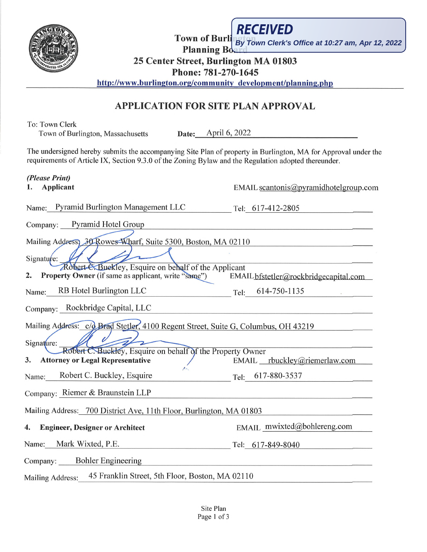

To: Town Clerk

**Town of Burlington Clerk's Office at 10:27 am, Apr 12, 2022 Planning Boa** 

**25 Center Street, Burlington MA 01803**

**Phone: 781-270-1645**

http://www.burlington.org/community development/planning.php

# **APPLICATION FOR SITE PLAN APPROVAL**

Town of Burlington, Massachusetts Date: April 6, 2022

| The undersigned hereby submits the accompanying Site Plan of property in Burlington, MA for Approval under the<br>requirements of Article IX, Section 9.3.0 of the Zoning Bylaw and the Regulation adopted thereunder. |                                       |
|------------------------------------------------------------------------------------------------------------------------------------------------------------------------------------------------------------------------|---------------------------------------|
| (Please Print)<br><b>Applicant</b><br>1.                                                                                                                                                                               | EMAIL scantonis@pyramidhotelgroup.com |
| Name: Pyramid Burlington Management LLC                                                                                                                                                                                | Tel: 617-412-2805                     |
| Company: Pyramid Hotel Group                                                                                                                                                                                           |                                       |
| Mailing Address, 30 Rowes Wharf, Suite 5300, Boston, MA 02110<br>Signature:                                                                                                                                            |                                       |
| Robert & Buekley, Esquire on behalf of the Applicant<br>Property Owner (if same as applicant, write "same")<br>2.                                                                                                      | EMAIL bfstetler@rockbridgecapital.com |
| RB Hotel Burlington LLC<br>Name:                                                                                                                                                                                       | 614-750-1135<br>Tel:                  |
| Company: Rockbridge Capital, LLC                                                                                                                                                                                       |                                       |
| Mailing Address: c/o Brad Stetler, 4100 Regent Street, Suite G, Columbus, OH 43219<br>Signature:<br>Robert C. Buckley, Esquire on behalf of the Property Owner<br><b>Attorney or Legal Representative</b><br>3.        | EMAIL __ rbuckley@riemerlaw.com       |
| Robert C. Buckley, Esquire<br>Name:                                                                                                                                                                                    | 617-880-3537<br>Tel:                  |
| Company: Riemer & Braunstein LLP                                                                                                                                                                                       |                                       |
| Mailing Address: 700 District Ave, 11th Floor, Burlington, MA 01803                                                                                                                                                    |                                       |
| 4.<br><b>Engineer, Designer or Architect</b>                                                                                                                                                                           | EMAIL mwixted@bohlereng.com           |
| Mark Wixted, P.E.<br>Name:                                                                                                                                                                                             | Tel: 617-849-8040                     |
| <b>Bohler Engineering</b><br>Company:                                                                                                                                                                                  |                                       |
| 45 Franklin Street, 5th Floor, Boston, MA 02110<br><b>Mailing Address:</b>                                                                                                                                             |                                       |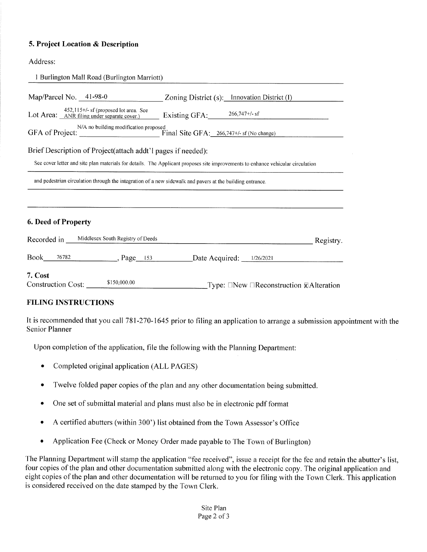### **5. Project Location** *&* Description

#### Address:

| 1 Burlington Mall Road (Burlington Marriott)                                                                     |                                                                                                                                 |           |
|------------------------------------------------------------------------------------------------------------------|---------------------------------------------------------------------------------------------------------------------------------|-----------|
| Map/Parcel No. $41-98-0$                                                                                         | Zoning District (s): Innovation District (I)                                                                                    |           |
| $452,115+\frac{1}{5}$ of (proposed lot area. See<br>Lot Area: ANR filing under separate cover.)                  | Existing GFA: 266,747+/- sf                                                                                                     |           |
| N/A no building modification proposed<br>GFA of Project: <u>Change</u> Final Site GFA: 266,747+/- sf (No change) |                                                                                                                                 |           |
| Brief Description of Project(attach addt'l pages if needed):                                                     | See cover letter and site plan materials for details. The Applicant proposes site improvements to enhance vehicular circulation |           |
| and pedestrian circulation through the integration of a new sidewalk and payers at the building entrance.        |                                                                                                                                 |           |
| 6. Deed of Property<br>Middlesex South Registry of Deeds<br>Recorded in                                          |                                                                                                                                 | Registry. |
| Book<br>$76782$ Page 153                                                                                         | Date Acquired: 1/26/2021                                                                                                        |           |
| 7. Cost<br>\$150,000.00<br><b>Construction Cost:</b>                                                             | Type: $\square$ New $\square$ Reconstruction $\nabla$ Alteration                                                                |           |

#### FILING INSTRUCTIONS

It is recommended that you call 781-270-1645 prior to filing an application to arrange a submission appointment with the Senior Planner

Upon completion of the application, file the following with the Planning Department:

- Completed original application (ALL PAGES)
- Twelve folded paper copies of the plan and any other documentation being submitted.
- One set of submittal material and plans must also be in electronic pdf format
- A certified abutters (within 300') list obtained from the Town Assessor's Office
- Application Fee (Check or Money Order made payable to The Town of Burlington)

The Planning Department will stamp the application "fee received", issue a receipt for the fee and retain the abutter's list, four copies of the plan and other documentation submitted along with the electronic copy. The original application and eight copies of the plan and other documentation will be returned to you for filing with the Town Clerk. This application is considered received on the date stamped by the Town Clerk.